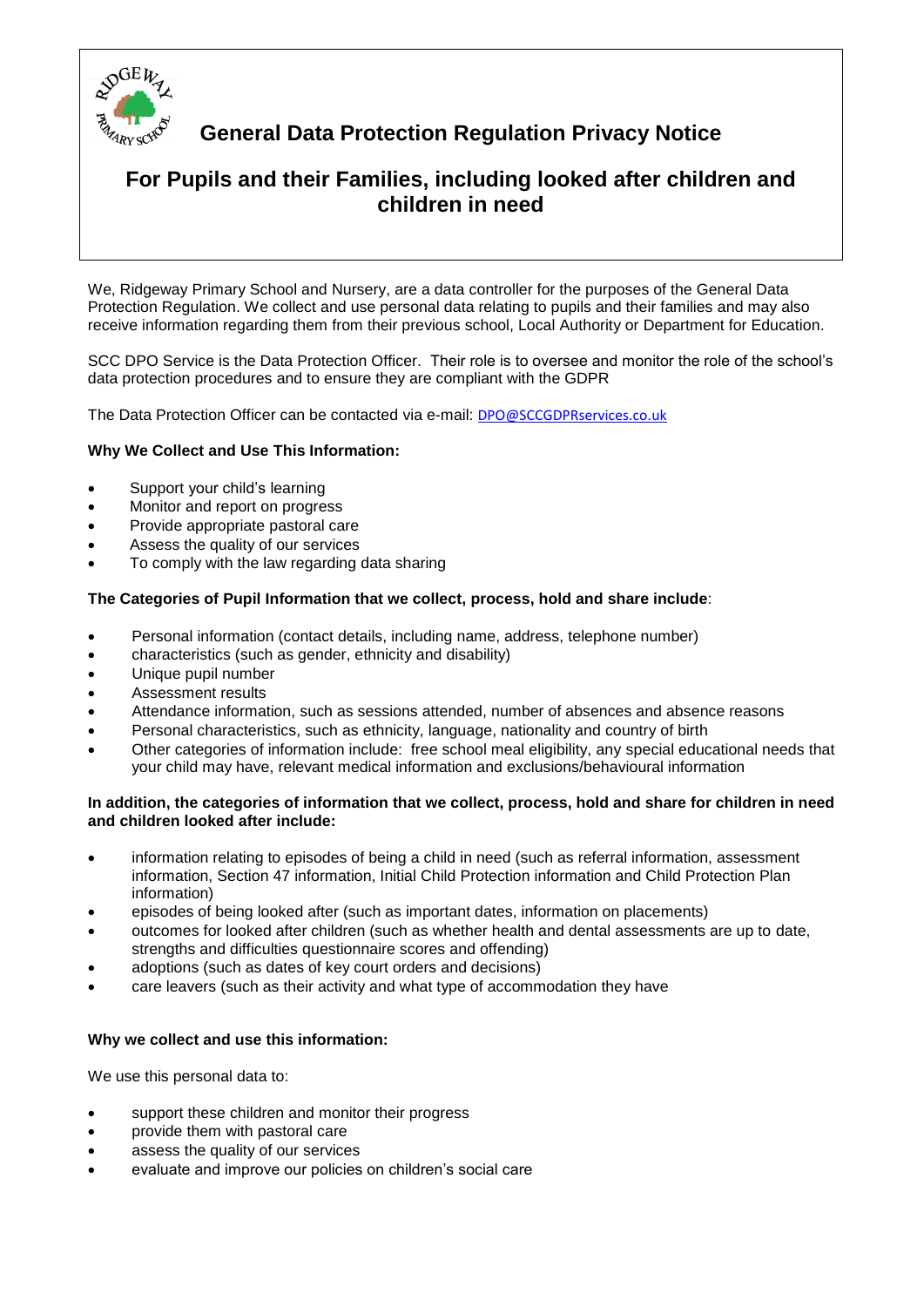

# **General Data Protection Regulation Privacy Notice**

# **For Pupils and their Families, including looked after children and children in need**

We, Ridgeway Primary School and Nursery, are a data controller for the purposes of the General Data Protection Regulation. We collect and use personal data relating to pupils and their families and may also receive information regarding them from their previous school, Local Authority or Department for Education.

SCC DPO Service is the Data Protection Officer. Their role is to oversee and monitor the role of the school's data protection procedures and to ensure they are compliant with the GDPR

The Data Protection Officer can be contacted via e-mail: **[DPO@SCCGDPRservices.co.uk](mailto:DPO@SCCGDPRservices.co.uk)** 

## **Why We Collect and Use This Information:**

- Support your child's learning
- Monitor and report on progress
- Provide appropriate pastoral care
- Assess the quality of our services
- To comply with the law regarding data sharing

#### **The Categories of Pupil Information that we collect, process, hold and share include**:

- Personal information (contact details, including name, address, telephone number)
- characteristics (such as gender, ethnicity and disability)
- Unique pupil number
- Assessment results
- Attendance information, such as sessions attended, number of absences and absence reasons
- Personal characteristics, such as ethnicity, language, nationality and country of birth
- Other categories of information include: free school meal eligibility, any special educational needs that your child may have, relevant medical information and exclusions/behavioural information

#### **In addition, the categories of information that we collect, process, hold and share for children in need and children looked after include:**

- information relating to episodes of being a child in need (such as referral information, assessment information, Section 47 information, Initial Child Protection information and Child Protection Plan information)
- episodes of being looked after (such as important dates, information on placements)
- outcomes for looked after children (such as whether health and dental assessments are up to date, strengths and difficulties questionnaire scores and offending)
- adoptions (such as dates of key court orders and decisions)
- care leavers (such as their activity and what type of accommodation they have

#### **Why we collect and use this information:**

We use this personal data to:

- support these children and monitor their progress
- provide them with pastoral care
- assess the quality of our services
- evaluate and improve our policies on children's social care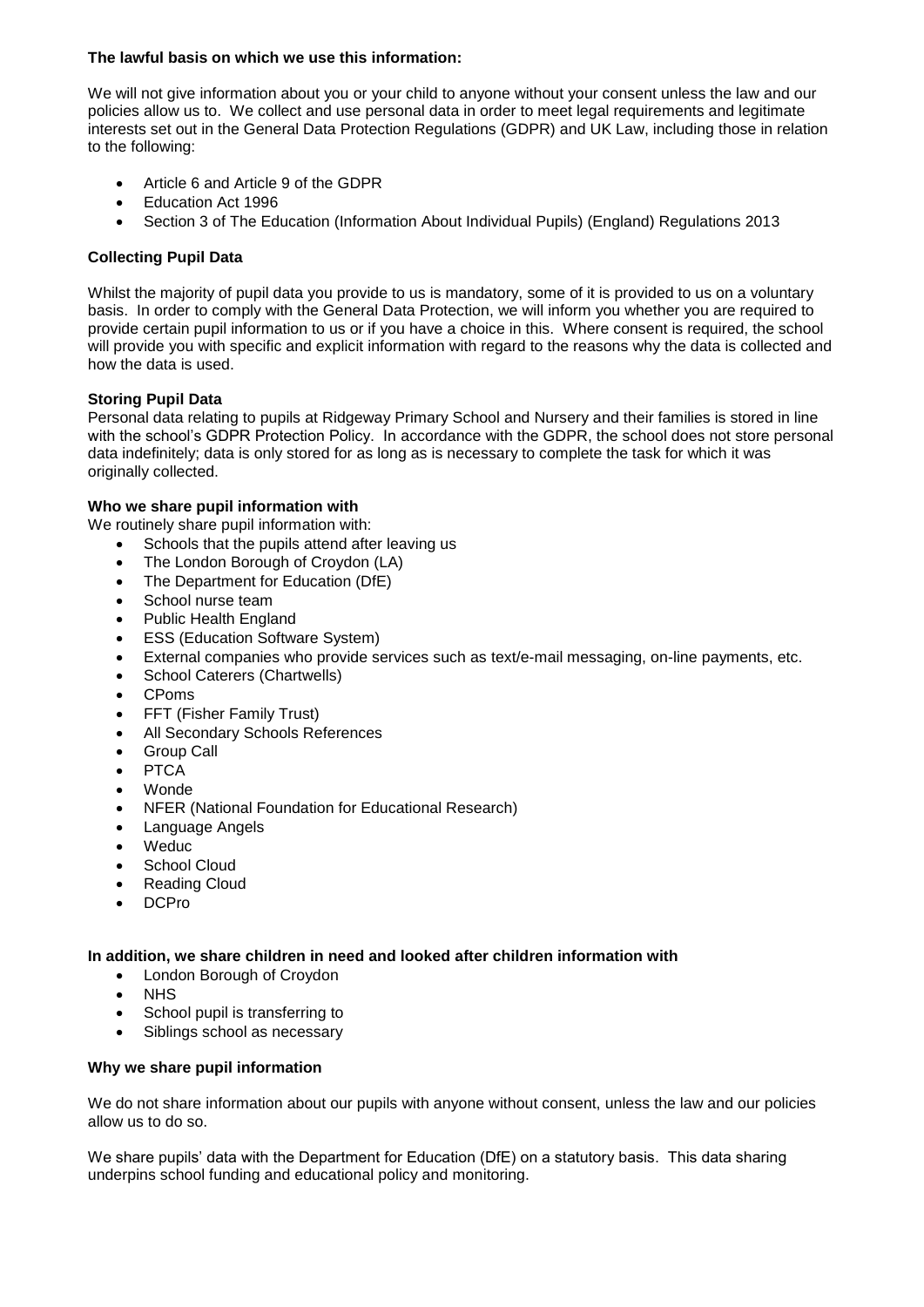## **The lawful basis on which we use this information:**

We will not give information about you or your child to anyone without your consent unless the law and our policies allow us to. We collect and use personal data in order to meet legal requirements and legitimate interests set out in the General Data Protection Regulations (GDPR) and UK Law, including those in relation to the following:

- Article 6 and Article 9 of the GDPR
- Education Act 1996
- Section 3 of The Education (Information About Individual Pupils) (England) Regulations 2013

# **Collecting Pupil Data**

Whilst the majority of pupil data you provide to us is mandatory, some of it is provided to us on a voluntary basis. In order to comply with the General Data Protection, we will inform you whether you are required to provide certain pupil information to us or if you have a choice in this. Where consent is required, the school will provide you with specific and explicit information with regard to the reasons why the data is collected and how the data is used.

# **Storing Pupil Data**

Personal data relating to pupils at Ridgeway Primary School and Nursery and their families is stored in line with the school's GDPR Protection Policy. In accordance with the GDPR, the school does not store personal data indefinitely; data is only stored for as long as is necessary to complete the task for which it was originally collected.

## **Who we share pupil information with**

We routinely share pupil information with:

- Schools that the pupils attend after leaving us
- The London Borough of Croydon (LA)
- The Department for Education (DfE)
- School nurse team
- Public Health England
- ESS (Education Software System)
- External companies who provide services such as text/e-mail messaging, on-line payments, etc.
- School Caterers (Chartwells)
- CPoms
- FFT (Fisher Family Trust)
- All Secondary Schools References
- Group Call
- **PTCA**
- Wonde
- NFER (National Foundation for Educational Research)
- Language Angels
- Weduc
- School Cloud
- Reading Cloud
- DCPro

## **In addition, we share children in need and looked after children information with**

- London Borough of Croydon
- NHS
- School pupil is transferring to
- Siblings school as necessary

## **Why we share pupil information**

We do not share information about our pupils with anyone without consent, unless the law and our policies allow us to do so.

We share pupils' data with the Department for Education (DfE) on a statutory basis. This data sharing underpins school funding and educational policy and monitoring.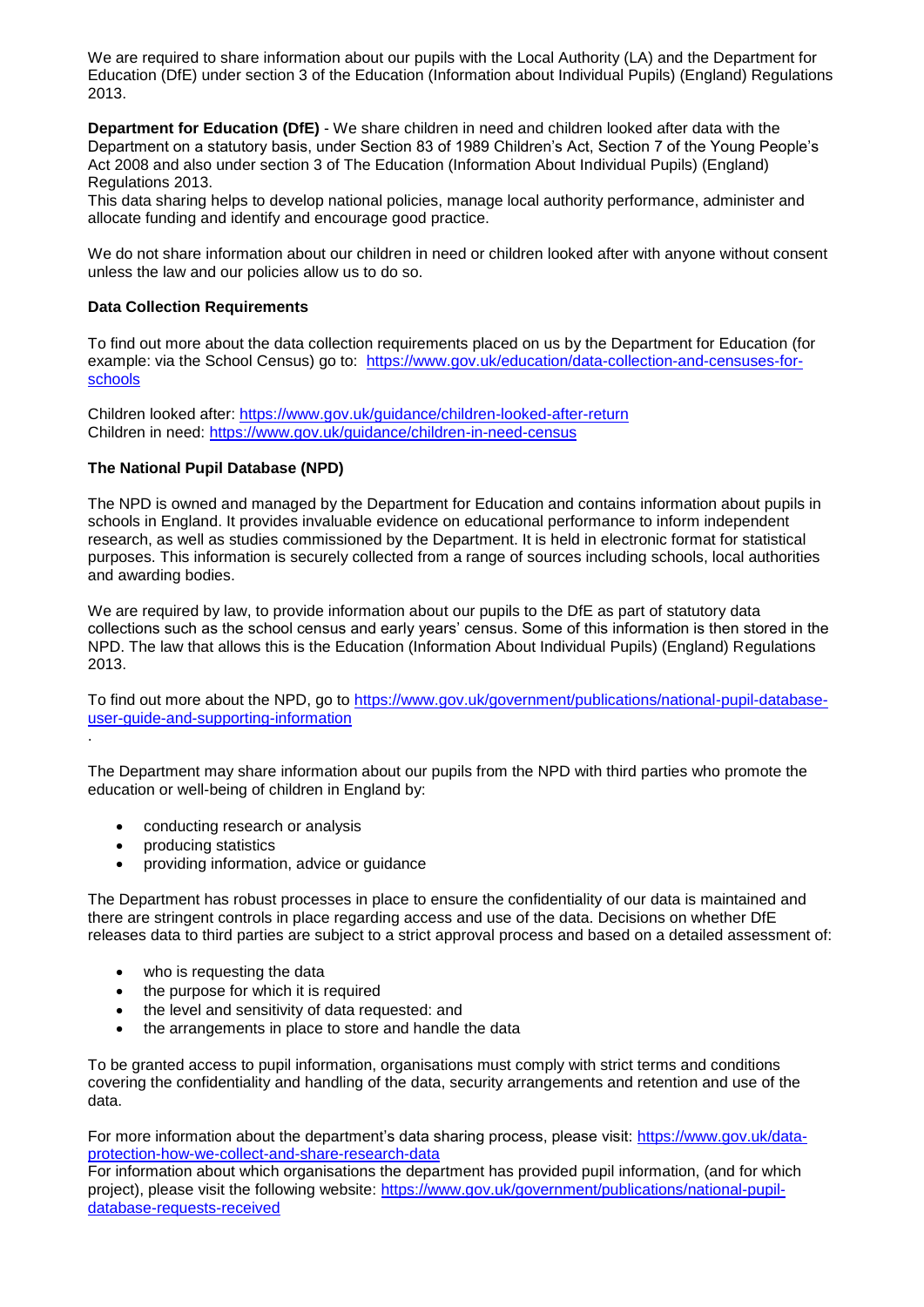We are required to share information about our pupils with the Local Authority (LA) and the Department for Education (DfE) under section 3 of the Education (Information about Individual Pupils) (England) Regulations 2013.

**Department for Education (DfE)** - We share children in need and children looked after data with the Department on a statutory basis, under Section 83 of 1989 Children's Act, Section 7 of the Young People's Act 2008 and also under section 3 of The Education (Information About Individual Pupils) (England) Regulations 2013.

This data sharing helps to develop national policies, manage local authority performance, administer and allocate funding and identify and encourage good practice.

We do not share information about our children in need or children looked after with anyone without consent unless the law and our policies allow us to do so.

#### **Data Collection Requirements**

To find out more about the data collection requirements placed on us by the Department for Education (for example: via the School Census) go to: [https://www.gov.uk/education/data-collection-and-censuses-for](https://www.gov.uk/education/data-collection-and-censuses-for-schools)[schools](https://www.gov.uk/education/data-collection-and-censuses-for-schools)

Children looked after:<https://www.gov.uk/guidance/children-looked-after-return> Children in need: <https://www.gov.uk/guidance/children-in-need-census>

## **The National Pupil Database (NPD)**

The NPD is owned and managed by the Department for Education and contains information about pupils in schools in England. It provides invaluable evidence on educational performance to inform independent research, as well as studies commissioned by the Department. It is held in electronic format for statistical purposes. This information is securely collected from a range of sources including schools, local authorities and awarding bodies.

We are required by law, to provide information about our pupils to the DfE as part of statutory data collections such as the school census and early years' census. Some of this information is then stored in the NPD. The law that allows this is the Education (Information About Individual Pupils) (England) Regulations 2013.

To find out more about the NPD, go to [https://www.gov.uk/government/publications/national-pupil-database](https://www.gov.uk/government/publications/national-pupil-database-user-guide-and-supporting-information)[user-guide-and-supporting-information](https://www.gov.uk/government/publications/national-pupil-database-user-guide-and-supporting-information)

The Department may share information about our pupils from the NPD with third parties who promote the education or well-being of children in England by:

- conducting research or analysis
- producing statistics

.

providing information, advice or guidance

The Department has robust processes in place to ensure the confidentiality of our data is maintained and there are stringent controls in place regarding access and use of the data. Decisions on whether DfE releases data to third parties are subject to a strict approval process and based on a detailed assessment of:

- who is requesting the data
- the purpose for which it is required
- the level and sensitivity of data requested: and
- the arrangements in place to store and handle the data

To be granted access to pupil information, organisations must comply with strict terms and conditions covering the confidentiality and handling of the data, security arrangements and retention and use of the data.

For more information about the department's data sharing process, please visit: [https://www.gov.uk/data](https://www.gov.uk/data-protection-how-we-collect-and-share-research-data)[protection-how-we-collect-and-share-research-data](https://www.gov.uk/data-protection-how-we-collect-and-share-research-data)

For information about which organisations the department has provided pupil information, (and for which project), please visit the following website: [https://www.gov.uk/government/publications/national-pupil](https://www.gov.uk/government/publications/national-pupil-database-requests-received)[database-requests-received](https://www.gov.uk/government/publications/national-pupil-database-requests-received)